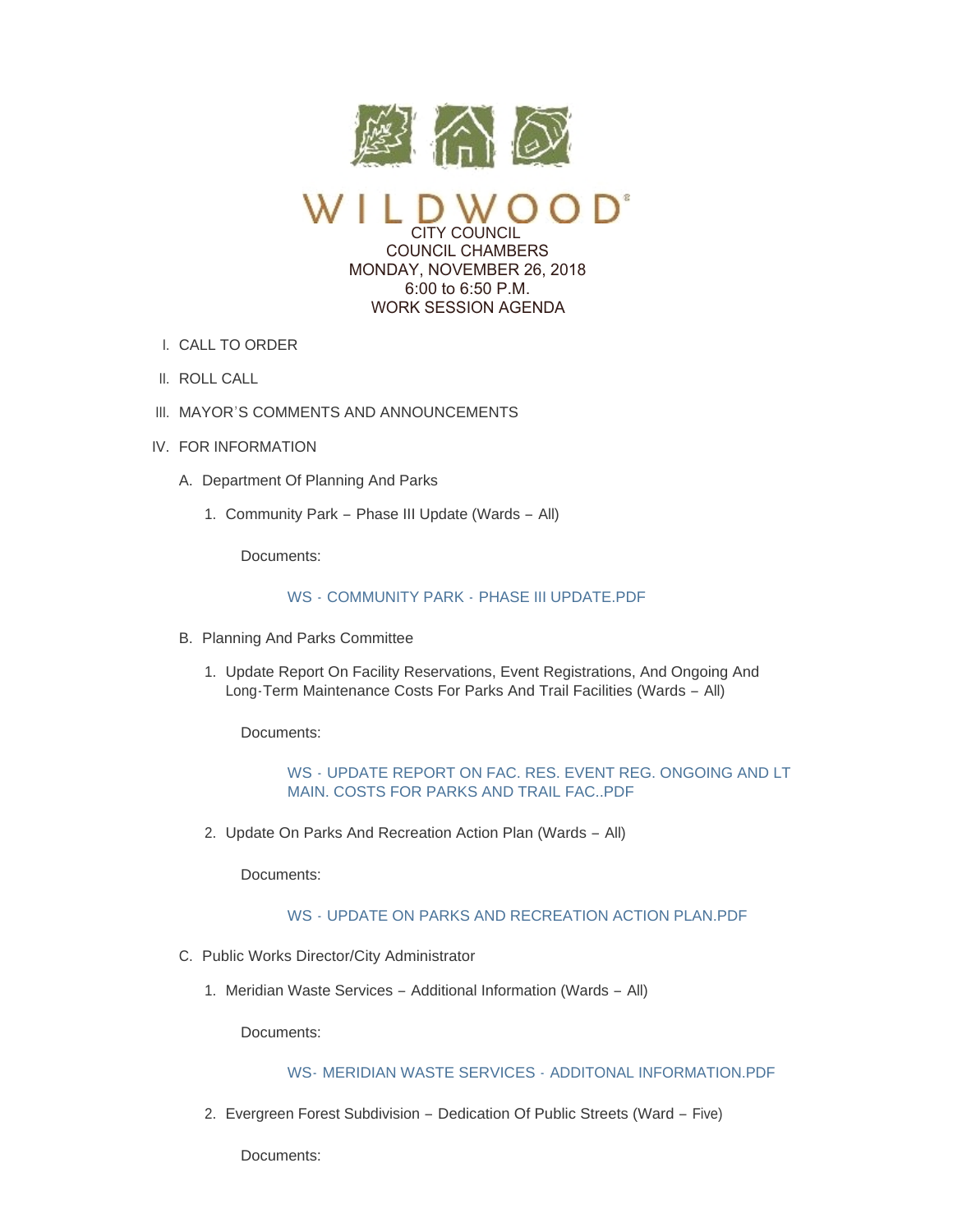

CITY COUNCIL COUNCIL CHAMBERS MONDAY, NOVEMBER 26, 2018 6:00 to 6:50 P.M. WORK SESSION AGENDA

- CALL TO ORDER I.
- II. ROLL CALL
- III. MAYOR'S COMMENTS AND ANNOUNCEMENTS
- IV. FOR INFORMATION
	- A. Department Of Planning And Parks
		- 1. Community Park Phase III Update (Wards All)

Documents:

## WS - COMMUNITY PARK - [PHASE III UPDATE.PDF](https://www.cityofwildwood.com/AgendaCenter/ViewFile/Item/17994?fileID=25062)

- B. Planning And Parks Committee
	- 1. Update Report On Facility Reservations, Event Registrations, And Ongoing And Long-Term Maintenance Costs For Parks And Trail Facilities (Wards – All)

Documents:

WS - [UPDATE REPORT ON FAC. RES. EVENT REG. ONGOING AND LT](https://www.cityofwildwood.com/AgendaCenter/ViewFile/Item/17996?fileID=25063)  MAIN. COSTS FOR PARKS AND TRAIL FAC..PDF

2. Update On Parks And Recreation Action Plan (Wards - All)

Documents:

# WS - [UPDATE ON PARKS AND RECREATION ACTION PLAN.PDF](https://www.cityofwildwood.com/AgendaCenter/ViewFile/Item/17997?fileID=25064)

- C. Public Works Director/City Administrator
	- Meridian Waste Services Additional Information (Wards All) 1.

Documents:

# WS- [MERIDIAN WASTE SERVICES -](https://www.cityofwildwood.com/AgendaCenter/ViewFile/Item/18000?fileID=25065) ADDITONAL INFORMATION PDF

2. Evergreen Forest Subdivision - Dedication Of Public Streets (Ward - Five)

Documents: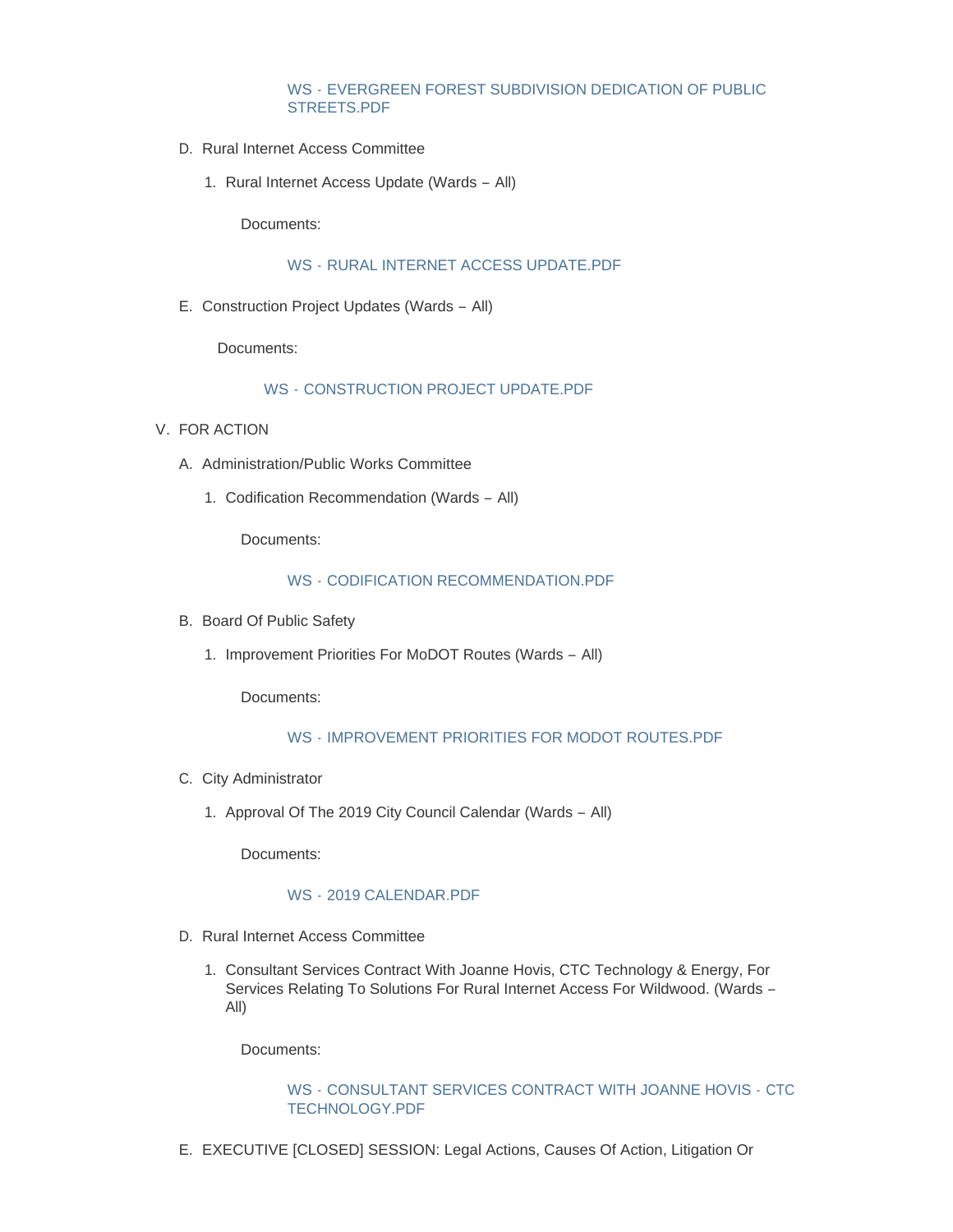### WS - [EVERGREEN FOREST SUBDIVISION DEDICATION OF PUBLIC](https://www.cityofwildwood.com/AgendaCenter/ViewFile/Item/18019?fileID=25074)  STREETS.PDF

- D. Rural Internet Access Committee
	- 1. Rural Internet Access Update (Wards All)

Documents:

### WS - [RURAL INTERNET ACCESS UPDATE.PDF](https://www.cityofwildwood.com/AgendaCenter/ViewFile/Item/18003?fileID=25066)

E. Construction Project Updates (Wards - All)

Documents:

## WS - [CONSTRUCTION PROJECT UPDATE.PDF](https://www.cityofwildwood.com/AgendaCenter/ViewFile/Item/18004?fileID=25067)

- V. FOR ACTION
	- A. Administration/Public Works Committee
		- 1. Codification Recommendation (Wards All)

Documents:

#### WS - [CODIFICATION RECOMMENDATION.PDF](https://www.cityofwildwood.com/AgendaCenter/ViewFile/Item/18007?fileID=25068)

- B. Board Of Public Safety
	- 1. Improvement Priorities For MoDOT Routes (Wards All)

Documents:

## WS - [IMPROVEMENT PRIORITIES FOR MODOT ROUTES.PDF](https://www.cityofwildwood.com/AgendaCenter/ViewFile/Item/18009?fileID=25069)

- C. City Administrator
	- 1. Approval Of The 2019 City Council Calendar (Wards All)

Documents:

#### WS - [2019 CALENDAR.PDF](https://www.cityofwildwood.com/AgendaCenter/ViewFile/Item/18011?fileID=25070)

- D. Rural Internet Access Committee
	- 1. Consultant Services Contract With Joanne Hovis, CTC Technology & Energy, For Services Relating To Solutions For Rural Internet Access For Wildwood. (Wards – All)

Documents:

### WS - [CONSULTANT SERVICES CONTRACT WITH JOANNE HOVIS -](https://www.cityofwildwood.com/AgendaCenter/ViewFile/Item/18013?fileID=25071) CTC TECHNOLOGY.PDF

E. EXECUTIVE [CLOSED] SESSION: Legal Actions, Causes Of Action, Litigation Or